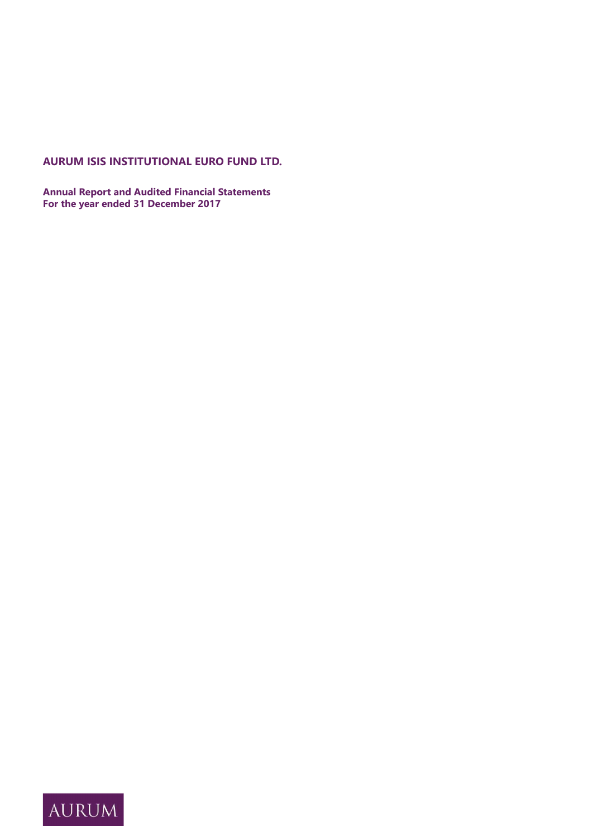# **AURUM ISIS INSTITUTIONAL EURO FUND LTD.**

**Annual Report and Audited Financial Statements For the year ended 31 December 2017**

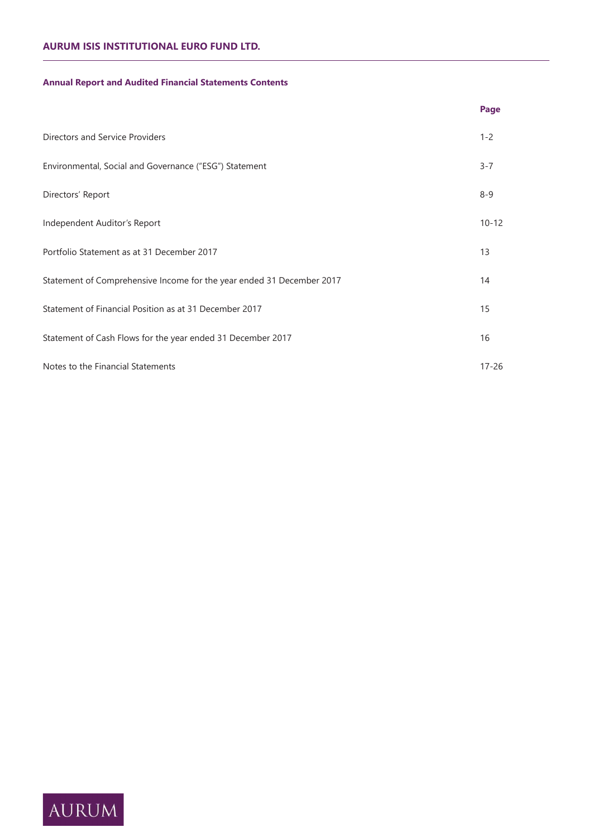## **Annual Report and Audited Financial Statements Contents**

|                                                                       | Page      |
|-----------------------------------------------------------------------|-----------|
| Directors and Service Providers                                       | $1 - 2$   |
| Environmental, Social and Governance ("ESG") Statement                | $3 - 7$   |
| Directors' Report                                                     | $8 - 9$   |
| Independent Auditor's Report                                          | $10 - 12$ |
| Portfolio Statement as at 31 December 2017                            | 13        |
| Statement of Comprehensive Income for the year ended 31 December 2017 | 14        |
| Statement of Financial Position as at 31 December 2017                | 15        |
| Statement of Cash Flows for the year ended 31 December 2017           | 16        |
| Notes to the Financial Statements                                     | $17 - 26$ |

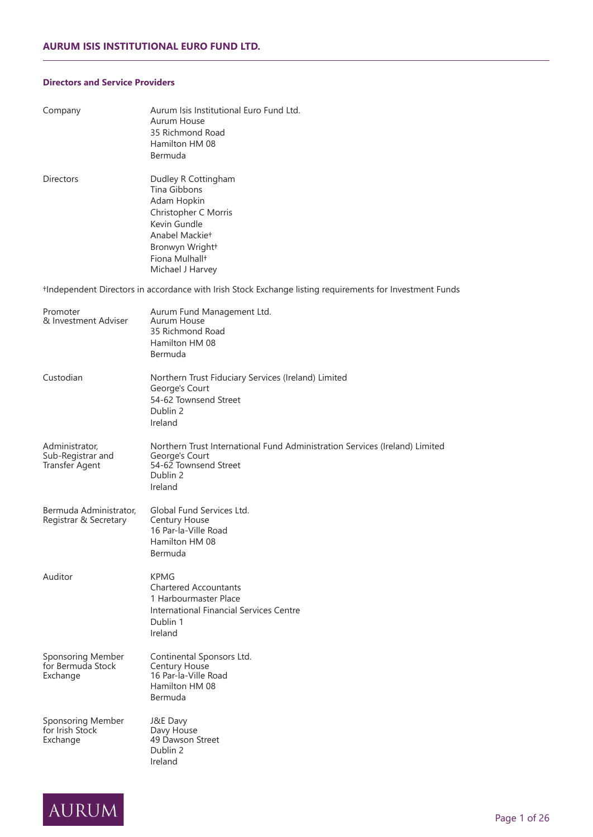## <span id="page-2-0"></span>**Directors and Service Providers**

| Company                                               | Aurum Isis Institutional Euro Fund Ltd.<br>Aurum House<br>35 Richmond Road<br>Hamilton HM 08<br>Bermuda                                                                                       |
|-------------------------------------------------------|-----------------------------------------------------------------------------------------------------------------------------------------------------------------------------------------------|
| Directors                                             | Dudley R Cottingham<br>Tina Gibbons<br>Adam Hopkin<br>Christopher C Morris<br>Kevin Gundle<br>Anabel Mackiet<br>Bronwyn Wright <sup>+</sup><br>Fiona Mulhall <sup>+</sup><br>Michael J Harvey |
|                                                       | tIndependent Directors in accordance with Irish Stock Exchange listing requirements for Investment Funds                                                                                      |
| Promoter<br>& Investment Adviser                      | Aurum Fund Management Ltd.<br>Aurum House<br>35 Richmond Road<br>Hamilton HM 08<br>Bermuda                                                                                                    |
| Custodian                                             | Northern Trust Fiduciary Services (Ireland) Limited<br>George's Court<br>54-62 Townsend Street<br>Dublin 2<br>Ireland                                                                         |
| Administrator,<br>Sub-Registrar and<br>Transfer Agent | Northern Trust International Fund Administration Services (Ireland) Limited<br>George's Court<br>54-62 Townsend Street<br>Dublin 2<br>Ireland                                                 |
| Bermuda Administrator,<br>Registrar & Secretary       | Global Fund Services Ltd.<br><b>Century House</b><br>16 Par-la-Ville Road<br>Hamilton HM 08<br>Bermuda                                                                                        |
| Auditor                                               | <b>KPMG</b><br><b>Chartered Accountants</b><br>1 Harbourmaster Place<br>International Financial Services Centre<br>Dublin 1<br>Ireland                                                        |
| Sponsoring Member<br>for Bermuda Stock<br>Exchange    | Continental Sponsors Ltd.<br>Century House<br>16 Par-la-Ville Road<br>Hamilton HM 08<br>Bermuda                                                                                               |
| Sponsoring Member<br>for Irish Stock<br>Exchange      | J&E Davy<br>Davy House<br>49 Dawson Street<br>Dublin 2<br>Ireland                                                                                                                             |

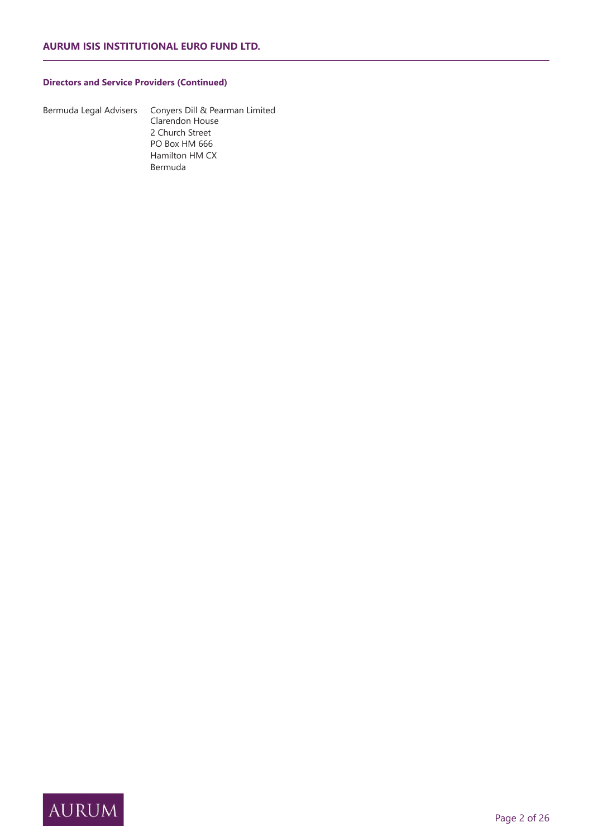## **Directors and Service Providers (Continued)**

| Clarendon House |
|-----------------|
| 2 Church Street |
| PO Box HM 666   |
| Hamilton HM CX  |
| Bermuda         |
|                 |

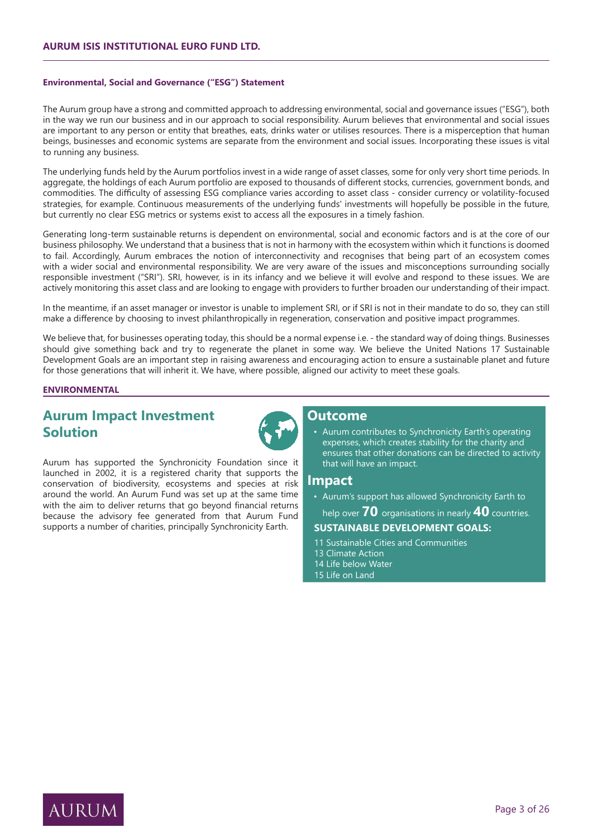## <span id="page-4-0"></span>**Environmental, Social and Governance ("ESG") Statement**

The Aurum group have a strong and committed approach to addressing environmental, social and governance issues ("ESG"), both in the way we run our business and in our approach to social responsibility. Aurum believes that environmental and social issues are important to any person or entity that breathes, eats, drinks water or utilises resources. There is a misperception that human beings, businesses and economic systems are separate from the environment and social issues. Incorporating these issues is vital to running any business.

The underlying funds held by the Aurum portfolios invest in a wide range of asset classes, some for only very short time periods. In aggregate, the holdings of each Aurum portfolio are exposed to thousands of different stocks, currencies, government bonds, and commodities. The difficulty of assessing ESG compliance varies according to asset class - consider currency or volatility-focused strategies, for example. Continuous measurements of the underlying funds' investments will hopefully be possible in the future, but currently no clear ESG metrics or systems exist to access all the exposures in a timely fashion.

Generating long-term sustainable returns is dependent on environmental, social and economic factors and is at the core of our business philosophy. We understand that a business that is not in harmony with the ecosystem within which it functions is doomed to fail. Accordingly, Aurum embraces the notion of interconnectivity and recognises that being part of an ecosystem comes with a wider social and environmental responsibility. We are very aware of the issues and misconceptions surrounding socially responsible investment ("SRI"). SRI, however, is in its infancy and we believe it will evolve and respond to these issues. We are actively monitoring this asset class and are looking to engage with providers to further broaden our understanding of their impact.

In the meantime, if an asset manager or investor is unable to implement SRI, or if SRI is not in their mandate to do so, they can still make a difference by choosing to invest philanthropically in regeneration, conservation and positive impact programmes.

We believe that, for businesses operating today, this should be a normal expense i.e. - the standard way of doing things. Businesses should give something back and try to regenerate the planet in some way. We believe the United Nations 17 Sustainable Development Goals are an important step in raising awareness and encouraging action to ensure a sustainable planet and future for those generations that will inherit it. We have, where possible, aligned our activity to meet these goals.

#### **ENVIRONMENTAL**

# **Aurum Impact Investment Solution**



Aurum has supported the Synchronicity Foundation since it that will have an impact. launched in 2002, it is a registered charity that supports the conservation of biodiversity, ecosystems and species at risk around the world. An Aurum Fund was set up at the same time with the aim to deliver returns that go beyond financial returns because the advisory fee generated from that Aurum Fund supports a number of charities, principally Synchronicity Earth.

## **Outcome**

• Aurum contributes to Synchronicity Earth's operating expenses, which creates stability for the charity and ensures that other donations can be directed to activity

## **Impact**

• Aurum's support has allowed Synchronicity Earth to

help over **70** organisations in nearly **40** countries. **SUSTAINABLE DEVELOPMENT GOALS:**

- 11 Sustainable Cities and Communities
- 13 Climate Action
- 14 Life below Water
- 15 Life on Land

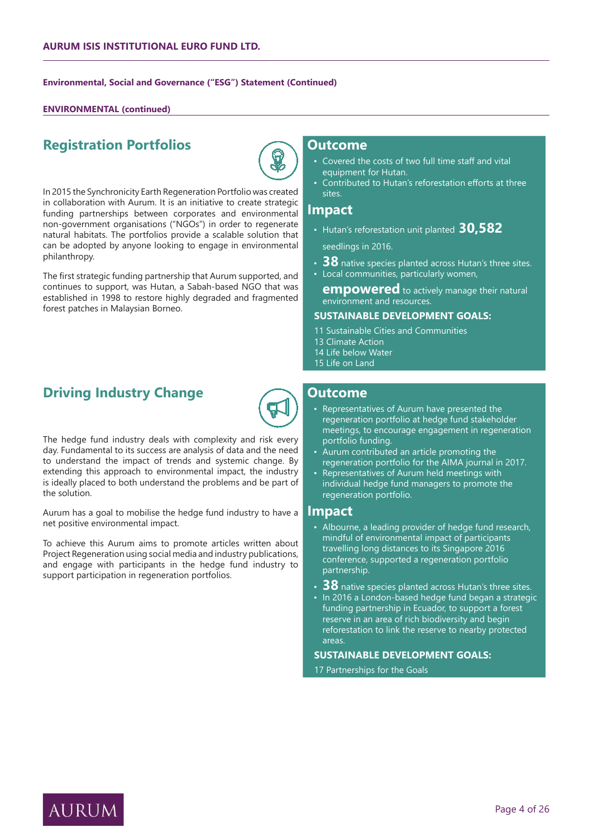## **ENVIRONMENTAL (continued)**

# **Registration Portfolios and Contract Portfolios**



In 2015 the Synchronicity Earth Regeneration Portfolio was created  $\frac{1}{\sqrt{1+\epsilon}}$ in collaboration with Aurum. It is an initiative to create strategic funding partnerships between corporates and environmental non-government organisations ("NGOs") in order to regenerate natural habitats. The portfolios provide a scalable solution that can be adopted by anyone looking to engage in environmental philanthropy.

The first strategic funding partnership that Aurum supported, and continues to support, was Hutan, a Sabah-based NGO that was established in 1998 to restore highly degraded and fragmented forest patches in Malaysian Borneo.

# **Driving Industry Change Change Outcome**

The hedge fund industry deals with complexity and risk every day. Fundamental to its success are analysis of data and the need to understand the impact of trends and systemic change. By extending this approach to environmental impact, the industry is ideally placed to both understand the problems and be part of the solution.

Aurum has a goal to mobilise the hedge fund industry to have a net positive environmental impact.

To achieve this Aurum aims to promote articles written about Project Regeneration using social media and industry publications, and engage with participants in the hedge fund industry to support participation in regeneration portfolios.

- Covered the costs of two full time staff and vital equipment for Hutan.
- Contributed to Hutan's reforestation efforts at three

## **Impact**

• Hutan's reforestation unit planted **30,582**

seedlings in 2016.

- **38** native species planted across Hutan's three sites. • Local communities, particularly women,
	- **empowered** to actively manage their natural environment and resources.

## **SUSTAINABLE DEVELOPMENT GOALS:**

- 11 Sustainable Cities and Communities
- 13 Climate Action
- 14 Life below Water
- 15 Life on Land

- Representatives of Aurum have presented the regeneration portfolio at hedge fund stakeholder meetings, to encourage engagement in regeneration portfolio funding.
- Aurum contributed an article promoting the regeneration portfolio for the AIMA journal in 2017.
- Representatives of Aurum held meetings with individual hedge fund managers to promote the regeneration portfolio.

## **Impact**

- Albourne, a leading provider of hedge fund research, mindful of environmental impact of participants travelling long distances to its Singapore 2016 conference, supported a regeneration portfolio partnership.
- **38** native species planted across Hutan's three sites.
- In 2016 a London-based hedge fund began a strategic funding partnership in Ecuador, to support a forest reserve in an area of rich biodiversity and begin reforestation to link the reserve to nearby protected areas.

## **SUSTAINABLE DEVELOPMENT GOALS:**

17 Partnerships for the Goals

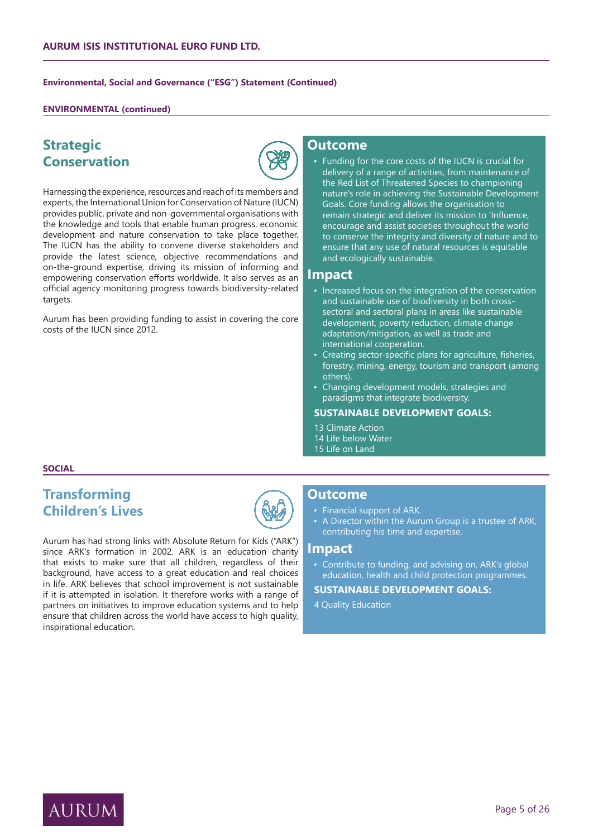## **ENVIRONMENTAL (continued)**

# **Strategic Conservation**



Harnessing the experience, resources and reach of its members and experts, the International Union for Conservation of Nature (IUCN) provides public, private and non-governmental organisations with the knowledge and tools that enable human progress, economic development and nature conservation to take place together. The IUCN has the ability to convene diverse stakeholders and provide the latest science, objective recommendations and on-the-ground expertise, driving its mission of informing and empowering conservation efforts worldwide. It also serves as an official agency monitoring progress towards biodiversity-related targets.

Aurum has been providing funding to assist in covering the core costs of the IUCN since 2012.

## **Outcome**

• Funding for the core costs of the IUCN is crucial for delivery of a range of activities, from maintenance of the Red List of Threatened Species to championing nature's role in achieving the Sustainable Development Goals. Core funding allows the organisation to remain strategic and deliver its mission to 'Influence, encourage and assist societies throughout the world to conserve the integrity and diversity of nature and to ensure that any use of natural resources is equitable and ecologically sustainable.

## **Impact**

- Increased focus on the integration of the conservation and sustainable use of biodiversity in both crosssectoral and sectoral plans in areas like sustainable development, poverty reduction, climate change adaptation/mitigation, as well as trade and international cooperation.
- Creating sector-specific plans for agriculture, fisheries, forestry, mining, energy, tourism and transport (among others).
- Changing development models, strategies and paradigms that integrate biodiversity.

## **SUSTAINABLE DEVELOPMENT GOALS:**

- 13 Climate Action 14 Life below Water
- 15 Life on Land

## **SOCIAL**

# **Transforming Children's Lives**



Aurum has had strong links with Absolute Return for Kids ("ARK") since ARK's formation in 2002. ARK is an education charity that exists to make sure that all children, regardless of their background, have access to a great education and real choices in life. ARK believes that school improvement is not sustainable if it is attempted in isolation. It therefore works with a range of partners on initiatives to improve education systems and to help ensure that children across the world have access to high quality, inspirational education.

## **Outcome**

- Financial support of ARK.
- A Director within the Aurum Group is a trustee of ARK, contributing his time and expertise.

## **Impact**

• Contribute to funding, and advising on, ARK's global education, health and child protection programmes.

## **SUSTAINABLE DEVELOPMENT GOALS:**

4 Quality Education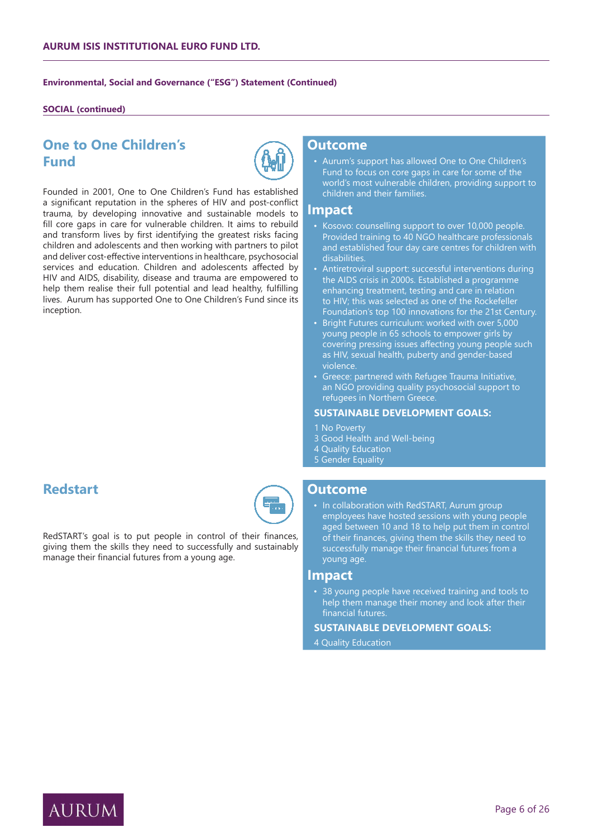## **SOCIAL (continued)**

# **One to One Children's Fund**



Founded in 2001, One to One Children's Fund has established a significant reputation in the spheres of HIV and post-conflict trauma, by developing innovative and sustainable models to fill core gaps in care for vulnerable children. It aims to rebuild and transform lives by first identifying the greatest risks facing children and adolescents and then working with partners to pilot and deliver cost-effective interventions in healthcare, psychosocial services and education. Children and adolescents affected by HIV and AIDS, disability, disease and trauma are empowered to help them realise their full potential and lead healthy, fulfilling lives. Aurum has supported One to One Children's Fund since its inception.

# **Redstart Outcome**

RedSTART's goal is to put people in control of their finances, giving them the skills they need to successfully and sustainably manage their financial futures from a young age.

## **Outcome**

Aurum's support has allowed One to One Children's Fund to focus on core gaps in care for some of the world's most vulnerable children, providing support to children and their families.

## **Impact**

- Kosovo: counselling support to over 10,000 people. Provided training to 40 NGO healthcare professionals and established four day care centres for children with disabilities.
- Antiretroviral support: successful interventions during the AIDS crisis in 2000s. Established a programme enhancing treatment, testing and care in relation to HIV; this was selected as one of the Rockefeller Foundation's top 100 innovations for the 21st Century.
- Bright Futures curriculum: worked with over 5,000 young people in 65 schools to empower girls by covering pressing issues affecting young people such as HIV, sexual health, puberty and gender-based violence.
- Greece: partnered with Refugee Trauma Initiative, an NGO providing quality psychosocial support to refugees in Northern Greece.

## **SUSTAINABLE DEVELOPMENT GOALS:**

- 1 No Poverty
- 3 Good Health and Well-being
- 4 Quality Education
- 5 Gender Equality

• In collaboration with RedSTART, Aurum group employees have hosted sessions with young people aged between 10 and 18 to help put them in control of their finances, giving them the skills they need to successfully manage their financial futures from a young age.

## **Impact**

• 38 young people have received training and tools to help them manage their money and look after their financial futures.

## **SUSTAINABLE DEVELOPMENT GOALS:**

4 Quality Education

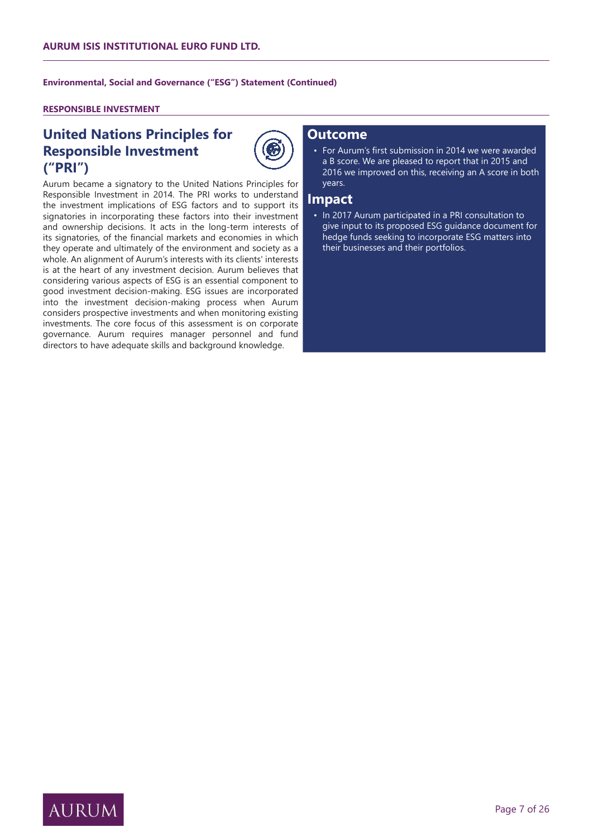## **RESPONSIBLE INVESTMENT**

# **United Nations Principles for Responsible Investment ("PRI")**



Aurum became a signatory to the United Nations Principles for vears. Responsible Investment in 2014. The PRI works to understand the investment implications of ESG factors and to support its signatories in incorporating these factors into their investment and ownership decisions. It acts in the long-term interests of its signatories, of the financial markets and economies in which they operate and ultimately of the environment and society as a whole. An alignment of Aurum's interests with its clients' interests is at the heart of any investment decision. Aurum believes that considering various aspects of ESG is an essential component to good investment decision-making. ESG issues are incorporated into the investment decision-making process when Aurum considers prospective investments and when monitoring existing investments. The core focus of this assessment is on corporate governance. Aurum requires manager personnel and fund directors to have adequate skills and background knowledge.

## **Outcome**

• For Aurum's first submission in 2014 we were awarded a B score. We are pleased to report that in 2015 and 2016 we improved on this, receiving an A score in both

## **Impact**

• In 2017 Aurum participated in a PRI consultation to give input to its proposed ESG guidance document for hedge funds seeking to incorporate ESG matters into their businesses and their portfolios.

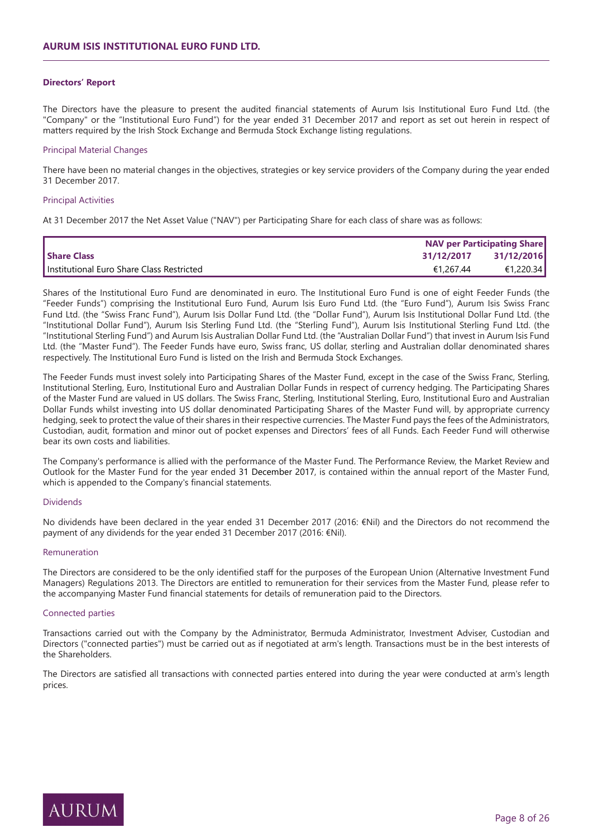## <span id="page-9-0"></span>**Directors' Report**

The Directors have the pleasure to present the audited financial statements of Aurum Isis Institutional Euro Fund Ltd. (the "Company" or the "Institutional Euro Fund") for the year ended 31 December 2017 and report as set out herein in respect of matters required by the Irish Stock Exchange and Bermuda Stock Exchange listing regulations.

## Principal Material Changes

There have been no material changes in the objectives, strategies or key service providers of the Company during the year ended 31 December 2017.

## Principal Activities

At 31 December 2017 the Net Asset Value ("NAV") per Participating Share for each class of share was as follows:

|                                             |            | <b>NAV per Participating Share</b> |
|---------------------------------------------|------------|------------------------------------|
| <b>Share Class</b>                          | 31/12/2017 | 31/12/2016                         |
| I Institutional Euro Share Class Restricted | €1,267.44  | €1,220.34                          |

Shares of the Institutional Euro Fund are denominated in euro. The Institutional Euro Fund is one of eight Feeder Funds (the "Feeder Funds") comprising the Institutional Euro Fund, Aurum Isis Euro Fund Ltd. (the "Euro Fund"), Aurum Isis Swiss Franc Fund Ltd. (the "Swiss Franc Fund"), Aurum Isis Dollar Fund Ltd. (the "Dollar Fund"), Aurum Isis Institutional Dollar Fund Ltd. (the "Institutional Dollar Fund"), Aurum Isis Sterling Fund Ltd. (the "Sterling Fund"), Aurum Isis Institutional Sterling Fund Ltd. (the "Institutional Sterling Fund") and Aurum Isis Australian Dollar Fund Ltd. (the "Australian Dollar Fund") that invest in Aurum Isis Fund Ltd. (the "Master Fund"). The Feeder Funds have euro, Swiss franc, US dollar, sterling and Australian dollar denominated shares respectively. The Institutional Euro Fund is listed on the Irish and Bermuda Stock Exchanges.

The Feeder Funds must invest solely into Participating Shares of the Master Fund, except in the case of the Swiss Franc, Sterling, Institutional Sterling, Euro, Institutional Euro and Australian Dollar Funds in respect of currency hedging. The Participating Shares of the Master Fund are valued in US dollars. The Swiss Franc, Sterling, Institutional Sterling, Euro, Institutional Euro and Australian Dollar Funds whilst investing into US dollar denominated Participating Shares of the Master Fund will, by appropriate currency hedging, seek to protect the value of their shares in their respective currencies. The Master Fund pays the fees of the Administrators, Custodian, audit, formation and minor out of pocket expenses and Directors' fees of all Funds. Each Feeder Fund will otherwise bear its own costs and liabilities.

The Company's performance is allied with the performance of the Master Fund. The Performance Review, the Market Review and Outlook for the Master Fund for the year ended 31 December 2017, is contained within the annual report of the Master Fund, which is appended to the Company's financial statements.

## Dividends

No dividends have been declared in the year ended 31 December 2017 (2016: €Nil) and the Directors do not recommend the payment of any dividends for the year ended 31 December 2017 (2016: €Nil).

## Remuneration

The Directors are considered to be the only identified staff for the purposes of the European Union (Alternative Investment Fund Managers) Regulations 2013. The Directors are entitled to remuneration for their services from the Master Fund, please refer to the accompanying Master Fund financial statements for details of remuneration paid to the Directors.

## Connected parties

Transactions carried out with the Company by the Administrator, Bermuda Administrator, Investment Adviser, Custodian and Directors ("connected parties") must be carried out as if negotiated at arm's length. Transactions must be in the best interests of the Shareholders.

The Directors are satisfied all transactions with connected parties entered into during the year were conducted at arm's length prices.

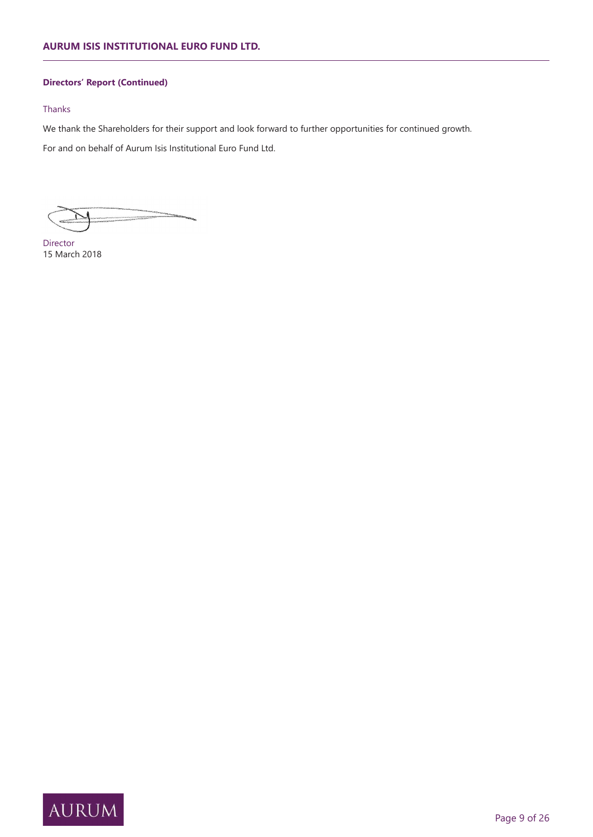## **Directors' Report (Continued)**

## Thanks

We thank the Shareholders for their support and look forward to further opportunities for continued growth.

For and on behalf of Aurum Isis Institutional Euro Fund Ltd.

Director 15 March 2018

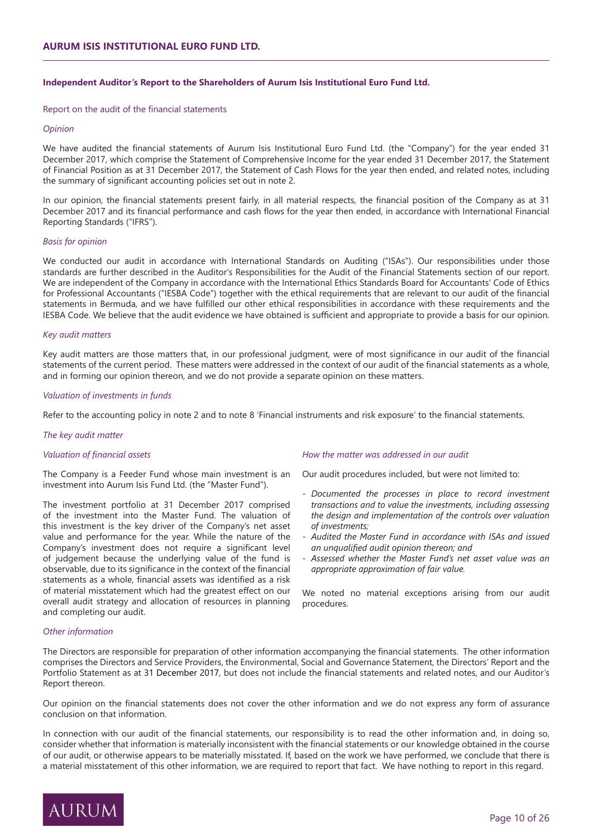## <span id="page-11-0"></span>**Independent Auditor's Report to the Shareholders of Aurum Isis Institutional Euro Fund Ltd.**

Report on the audit of the financial statements

## *Opinion*

We have audited the financial statements of Aurum Isis Institutional Euro Fund Ltd. (the "Company") for the year ended 31 December 2017, which comprise the Statement of Comprehensive Income for the year ended 31 December 2017, the Statement of Financial Position as at 31 December 2017, the Statement of Cash Flows for the year then ended, and related notes, including the summary of significant accounting policies set out in note 2.

In our opinion, the financial statements present fairly, in all material respects, the financial position of the Company as at 31 December 2017 and its financial performance and cash flows for the year then ended, in accordance with International Financial Reporting Standards ("IFRS").

## *Basis for opinion*

We conducted our audit in accordance with International Standards on Auditing ("ISAs"). Our responsibilities under those standards are further described in the Auditor's Responsibilities for the Audit of the Financial Statements section of our report. We are independent of the Company in accordance with the International Ethics Standards Board for Accountants' Code of Ethics for Professional Accountants ("IESBA Code") together with the ethical requirements that are relevant to our audit of the financial statements in Bermuda, and we have fulfilled our other ethical responsibilities in accordance with these requirements and the IESBA Code. We believe that the audit evidence we have obtained is sufficient and appropriate to provide a basis for our opinion.

## *Key audit matters*

Key audit matters are those matters that, in our professional judgment, were of most significance in our audit of the financial statements of the current period. These matters were addressed in the context of our audit of the financial statements as a whole, and in forming our opinion thereon, and we do not provide a separate opinion on these matters.

## *Valuation of investments in funds*

Refer to the accounting policy in note 2 and to note 8 'Financial instruments and risk exposure' to the financial statements.

#### *The key audit matter*

## *Valuation of financial assets*

The Company is a Feeder Fund whose main investment is an investment into Aurum Isis Fund Ltd. (the "Master Fund").

The investment portfolio at 31 December 2017 comprised of the investment into the Master Fund. The valuation of this investment is the key driver of the Company's net asset value and performance for the year. While the nature of the Company's investment does not require a significant level of judgement because the underlying value of the fund is observable, due to its significance in the context of the financial statements as a whole, financial assets was identified as a risk of material misstatement which had the greatest effect on our overall audit strategy and allocation of resources in planning and completing our audit.

#### *How the matter was addressed in our audit*

Our audit procedures included, but were not limited to:

- *- Documented the processes in place to record investment transactions and to value the investments, including assessing the design and implementation of the controls over valuation of investments;*
- *- Audited the Master Fund in accordance with ISAs and issued an unqualified audit opinion thereon; and*
- *- Assessed whether the Master Fund's net asset value was an appropriate approximation of fair value.*

We noted no material exceptions arising from our audit procedures.

#### *Other information*

The Directors are responsible for preparation of other information accompanying the financial statements. The other information comprises the Directors and Service Providers, the Environmental, Social and Governance Statement, the Directors' Report and the Portfolio Statement as at 31 December 2017, but does not include the financial statements and related notes, and our Auditor's Report thereon.

Our opinion on the financial statements does not cover the other information and we do not express any form of assurance conclusion on that information.

In connection with our audit of the financial statements, our responsibility is to read the other information and, in doing so, consider whether that information is materially inconsistent with the financial statements or our knowledge obtained in the course of our audit, or otherwise appears to be materially misstated. If, based on the work we have performed, we conclude that there is a material misstatement of this other information, we are required to report that fact. We have nothing to report in this regard.

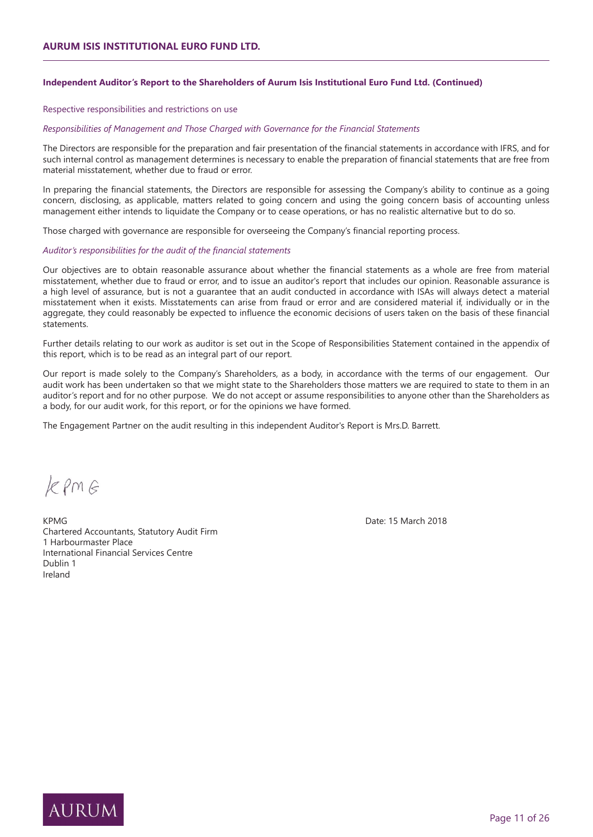## **Independent Auditor's Report to the Shareholders of Aurum Isis Institutional Euro Fund Ltd. (Continued)**

Respective responsibilities and restrictions on use

## *Responsibilities of Management and Those Charged with Governance for the Financial Statements*

The Directors are responsible for the preparation and fair presentation of the financial statements in accordance with IFRS, and for such internal control as management determines is necessary to enable the preparation of financial statements that are free from material misstatement, whether due to fraud or error.

In preparing the financial statements, the Directors are responsible for assessing the Company's ability to continue as a going concern, disclosing, as applicable, matters related to going concern and using the going concern basis of accounting unless management either intends to liquidate the Company or to cease operations, or has no realistic alternative but to do so.

Those charged with governance are responsible for overseeing the Company's financial reporting process.

## *Auditor's responsibilities for the audit of the financial statements*

Our objectives are to obtain reasonable assurance about whether the financial statements as a whole are free from material misstatement, whether due to fraud or error, and to issue an auditor's report that includes our opinion. Reasonable assurance is a high level of assurance, but is not a guarantee that an audit conducted in accordance with ISAs will always detect a material misstatement when it exists. Misstatements can arise from fraud or error and are considered material if, individually or in the aggregate, they could reasonably be expected to influence the economic decisions of users taken on the basis of these financial statements.

Further details relating to our work as auditor is set out in the Scope of Responsibilities Statement contained in the appendix of this report, which is to be read as an integral part of our report.

Our report is made solely to the Company's Shareholders, as a body, in accordance with the terms of our engagement. Our audit work has been undertaken so that we might state to the Shareholders those matters we are required to state to them in an auditor's report and for no other purpose. We do not accept or assume responsibilities to anyone other than the Shareholders as a body, for our audit work, for this report, or for the opinions we have formed.

The Engagement Partner on the audit resulting in this independent Auditor's Report is Mrs.D. Barrett.

 $KPMG$ 

KPMG **Date: 15 March 2018** Chartered Accountants, Statutory Audit Firm 1 Harbourmaster Place International Financial Services Centre Dublin 1 Ireland

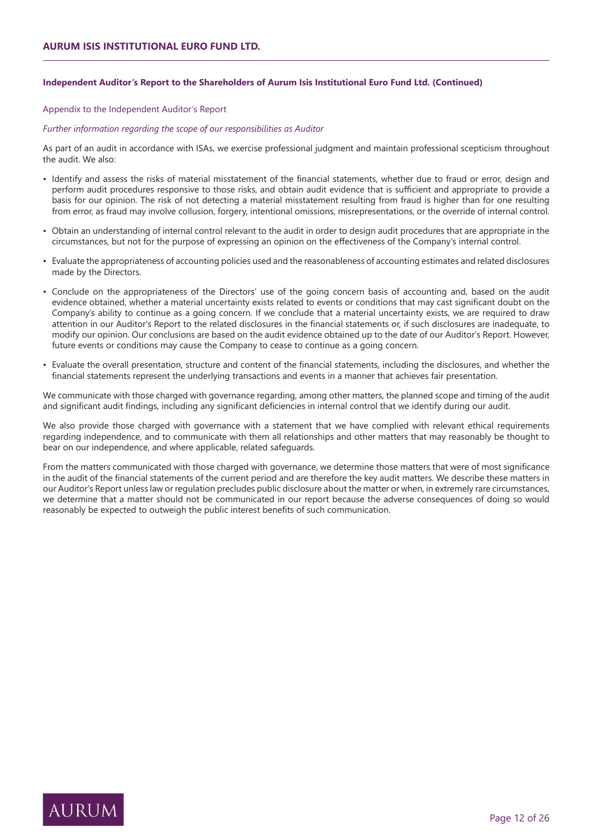## **Independent Auditor's Report to the Shareholders of Aurum Isis Institutional Euro Fund Ltd. (Continued)**

## Appendix to the Independent Auditor's Report

## *Further information regarding the scope of our responsibilities as Auditor*

As part of an audit in accordance with ISAs, we exercise professional judgment and maintain professional scepticism throughout the audit. We also:

- Identify and assess the risks of material misstatement of the financial statements, whether due to fraud or error, design and perform audit procedures responsive to those risks, and obtain audit evidence that is sufficient and appropriate to provide a basis for our opinion. The risk of not detecting a material misstatement resulting from fraud is higher than for one resulting from error, as fraud may involve collusion, forgery, intentional omissions, misrepresentations, or the override of internal control.
- Obtain an understanding of internal control relevant to the audit in order to design audit procedures that are appropriate in the circumstances, but not for the purpose of expressing an opinion on the effectiveness of the Company's internal control.
- Evaluate the appropriateness of accounting policies used and the reasonableness of accounting estimates and related disclosures made by the Directors.
- Conclude on the appropriateness of the Directors' use of the going concern basis of accounting and, based on the audit evidence obtained, whether a material uncertainty exists related to events or conditions that may cast significant doubt on the Company's ability to continue as a going concern. If we conclude that a material uncertainty exists, we are required to draw attention in our Auditor's Report to the related disclosures in the financial statements or, if such disclosures are inadequate, to modify our opinion. Our conclusions are based on the audit evidence obtained up to the date of our Auditor's Report. However, future events or conditions may cause the Company to cease to continue as a going concern.
- Evaluate the overall presentation, structure and content of the financial statements, including the disclosures, and whether the financial statements represent the underlying transactions and events in a manner that achieves fair presentation.

We communicate with those charged with governance regarding, among other matters, the planned scope and timing of the audit and significant audit findings, including any significant deficiencies in internal control that we identify during our audit.

We also provide those charged with governance with a statement that we have complied with relevant ethical requirements regarding independence, and to communicate with them all relationships and other matters that may reasonably be thought to bear on our independence, and where applicable, related safeguards.

From the matters communicated with those charged with governance, we determine those matters that were of most significance in the audit of the financial statements of the current period and are therefore the key audit matters. We describe these matters in our Auditor's Report unless law or regulation precludes public disclosure about the matter or when, in extremely rare circumstances, we determine that a matter should not be communicated in our report because the adverse consequences of doing so would reasonably be expected to outweigh the public interest benefits of such communication.

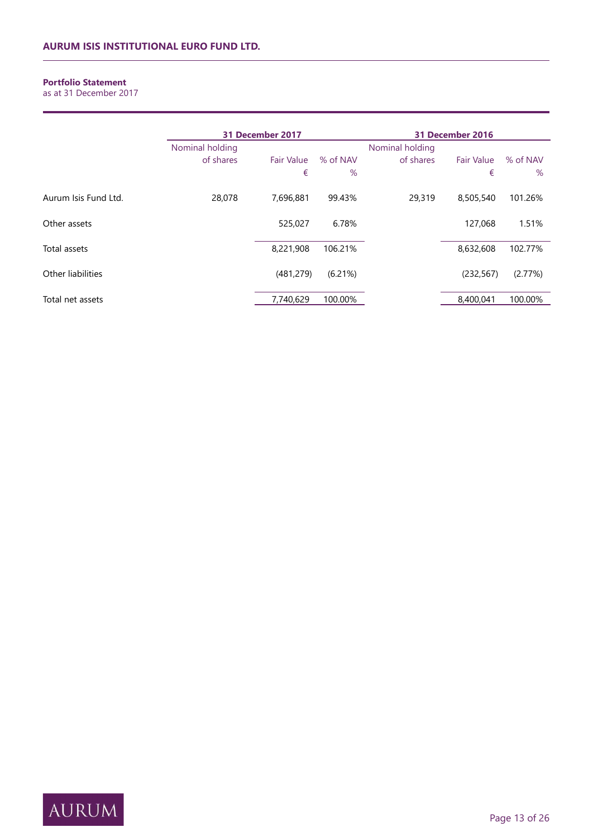## <span id="page-14-0"></span>**Portfolio Statement**

as at 31 December 2017

|                      | 31 December 2017 |                   | 31 December 2016 |                 |                   |          |
|----------------------|------------------|-------------------|------------------|-----------------|-------------------|----------|
|                      | Nominal holding  |                   |                  | Nominal holding |                   |          |
|                      | of shares        | <b>Fair Value</b> | % of NAV         | of shares       | <b>Fair Value</b> | % of NAV |
|                      |                  | €                 | %                |                 | €                 | $\%$     |
| Aurum Isis Fund Ltd. | 28,078           | 7,696,881         | 99.43%           | 29,319          | 8,505,540         | 101.26%  |
| Other assets         |                  | 525,027           | 6.78%            |                 | 127,068           | 1.51%    |
| Total assets         |                  | 8,221,908         | 106.21%          |                 | 8,632,608         | 102.77%  |
| Other liabilities    |                  | (481, 279)        | (6.21%)          |                 | (232, 567)        | (2.77%)  |
| Total net assets     |                  | 7.740.629         | 100.00%          |                 | 8,400,041         | 100.00%  |

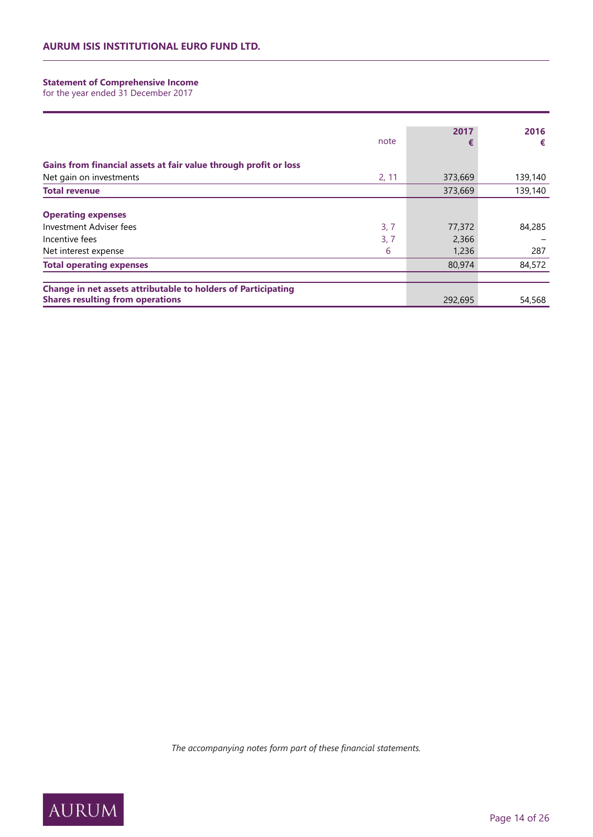## <span id="page-15-0"></span>**Statement of Comprehensive Income**

for the year ended 31 December 2017

|                                                                  | 2017    | 2016    |  |
|------------------------------------------------------------------|---------|---------|--|
| note                                                             |         | €       |  |
| Gains from financial assets at fair value through profit or loss |         |         |  |
| Net gain on investments<br>2, 11                                 | 373,669 | 139,140 |  |
| <b>Total revenue</b>                                             | 373,669 | 139,140 |  |
|                                                                  |         |         |  |
| <b>Operating expenses</b>                                        |         |         |  |
| <b>Investment Adviser fees</b><br>3, 7                           | 77,372  | 84,285  |  |
| 3, 7<br>Incentive fees                                           | 2,366   |         |  |
| 6<br>Net interest expense                                        | 1,236   | 287     |  |
| <b>Total operating expenses</b>                                  | 80,974  | 84,572  |  |
|                                                                  |         |         |  |
| Change in net assets attributable to holders of Participating    |         |         |  |
| <b>Shares resulting from operations</b>                          | 292,695 | 54,568  |  |

*The accompanying notes form part of these financial statements.*

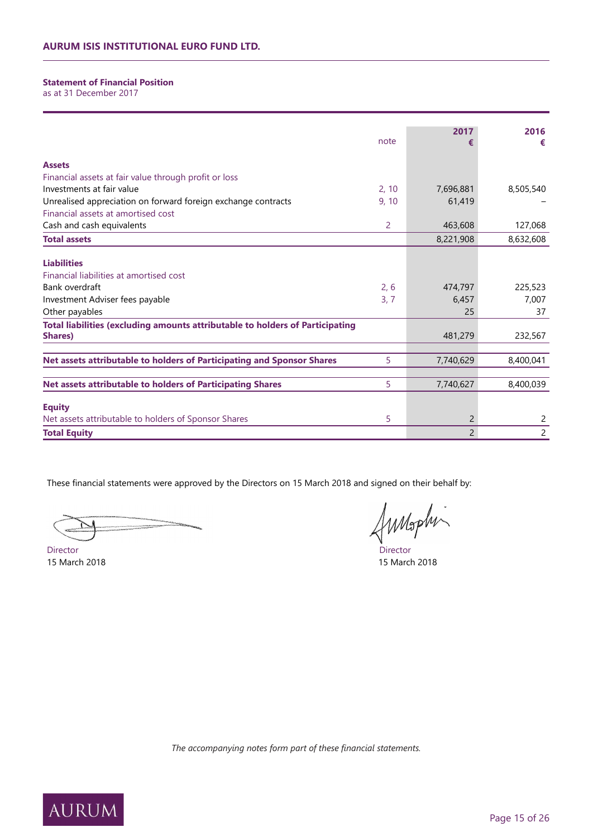## <span id="page-16-0"></span>**Statement of Financial Position**

as at 31 December 2017

|                                                                               | note  | 2017           | 2016           |
|-------------------------------------------------------------------------------|-------|----------------|----------------|
|                                                                               |       | €              | €              |
| <b>Assets</b>                                                                 |       |                |                |
| Financial assets at fair value through profit or loss                         |       |                |                |
| Investments at fair value                                                     | 2, 10 | 7,696,881      | 8,505,540      |
| Unrealised appreciation on forward foreign exchange contracts                 | 9, 10 | 61,419         |                |
| Financial assets at amortised cost                                            |       |                |                |
| Cash and cash equivalents                                                     | 2     | 463,608        | 127,068        |
| <b>Total assets</b>                                                           |       | 8,221,908      | 8,632,608      |
|                                                                               |       |                |                |
| <b>Liabilities</b>                                                            |       |                |                |
| Financial liabilities at amortised cost                                       |       |                |                |
| Bank overdraft                                                                | 2, 6  | 474,797        | 225,523        |
| Investment Adviser fees payable                                               | 3, 7  | 6,457          | 7,007          |
| Other payables                                                                |       | 25             | 37             |
| Total liabilities (excluding amounts attributable to holders of Participating |       |                |                |
| <b>Shares</b> )                                                               |       | 481,279        | 232,567        |
|                                                                               |       |                |                |
| Net assets attributable to holders of Participating and Sponsor Shares        | 5     | 7,740,629      | 8,400,041      |
| Net assets attributable to holders of Participating Shares                    | 5     | 7,740,627      | 8,400,039      |
|                                                                               |       |                |                |
| <b>Equity</b>                                                                 |       |                |                |
| Net assets attributable to holders of Sponsor Shares                          | 5     | 2              | 2              |
| <b>Total Equity</b>                                                           |       | $\overline{2}$ | $\overline{c}$ |

These financial statements were approved by the Directors on 15 March 2018 and signed on their behalf by:

Annsphi

Director Director 15 March 2018 15 March 2018

*The accompanying notes form part of these financial statements.*

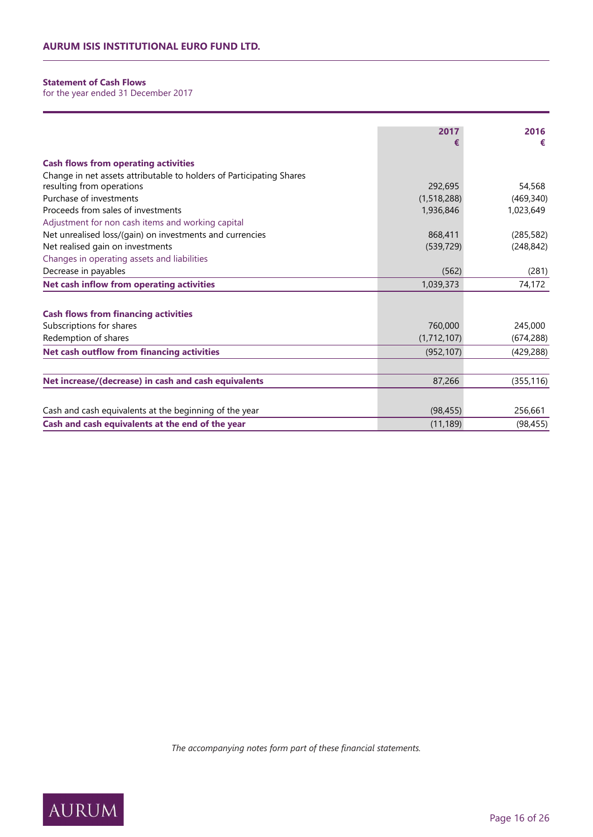## <span id="page-17-0"></span>**Statement of Cash Flows**

for the year ended 31 December 2017

|                                                                      | 2017        | 2016       |
|----------------------------------------------------------------------|-------------|------------|
|                                                                      |             | €          |
| <b>Cash flows from operating activities</b>                          |             |            |
| Change in net assets attributable to holders of Participating Shares |             |            |
| resulting from operations                                            | 292,695     | 54,568     |
| Purchase of investments                                              | (1,518,288) | (469, 340) |
| Proceeds from sales of investments                                   | 1,936,846   | 1,023,649  |
| Adjustment for non cash items and working capital                    |             |            |
| Net unrealised loss/(gain) on investments and currencies             | 868,411     | (285, 582) |
| Net realised gain on investments                                     | (539, 729)  | (248, 842) |
| Changes in operating assets and liabilities                          |             |            |
| Decrease in payables                                                 | (562)       | (281)      |
| Net cash inflow from operating activities                            | 1,039,373   | 74,172     |
|                                                                      |             |            |
| <b>Cash flows from financing activities</b>                          |             |            |
| Subscriptions for shares                                             | 760,000     | 245,000    |
| Redemption of shares                                                 | (1,712,107) | (674,288)  |
| Net cash outflow from financing activities                           | (952, 107)  | (429, 288) |
|                                                                      |             |            |
| Net increase/(decrease) in cash and cash equivalents                 | 87,266      | (355, 116) |
|                                                                      |             |            |
| Cash and cash equivalents at the beginning of the year               | (98, 455)   | 256,661    |
| Cash and cash equivalents at the end of the year                     | (11, 189)   | (98, 455)  |

*The accompanying notes form part of these financial statements.*

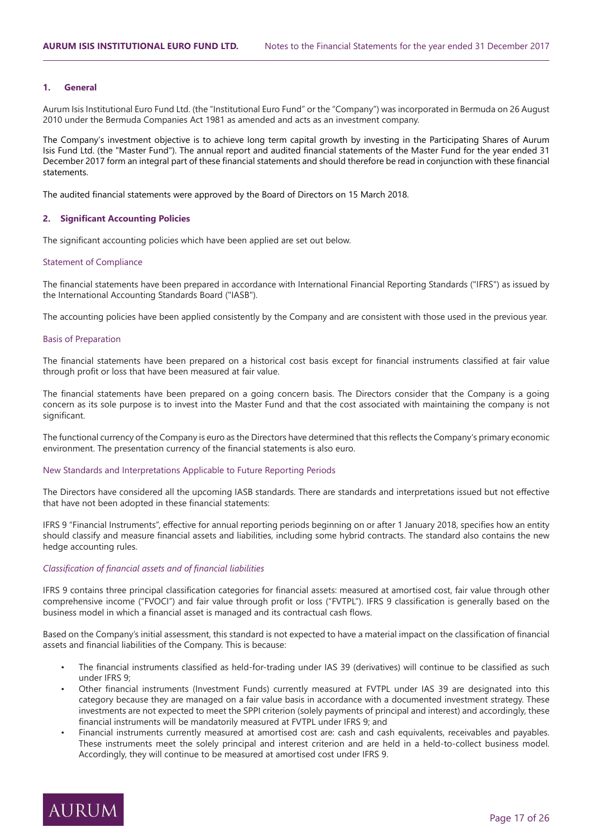## <span id="page-18-0"></span>**1. General**

Aurum Isis Institutional Euro Fund Ltd. (the "Institutional Euro Fund" or the "Company") was incorporated in Bermuda on 26 August 2010 under the Bermuda Companies Act 1981 as amended and acts as an investment company.

The Company's investment objective is to achieve long term capital growth by investing in the Participating Shares of Aurum Isis Fund Ltd. (the "Master Fund"). The annual report and audited financial statements of the Master Fund for the year ended 31 December 2017 form an integral part of these financial statements and should therefore be read in conjunction with these financial statements.

The audited financial statements were approved by the Board of Directors on 15 March 2018.

## **2. Significant Accounting Policies**

The significant accounting policies which have been applied are set out below.

#### Statement of Compliance

The financial statements have been prepared in accordance with International Financial Reporting Standards ("IFRS") as issued by the International Accounting Standards Board ("IASB").

The accounting policies have been applied consistently by the Company and are consistent with those used in the previous year.

#### Basis of Preparation

The financial statements have been prepared on a historical cost basis except for financial instruments classified at fair value through profit or loss that have been measured at fair value.

The financial statements have been prepared on a going concern basis. The Directors consider that the Company is a going concern as its sole purpose is to invest into the Master Fund and that the cost associated with maintaining the company is not significant.

The functional currency of the Company is euro as the Directors have determined that this reflects the Company's primary economic environment. The presentation currency of the financial statements is also euro.

#### New Standards and Interpretations Applicable to Future Reporting Periods

The Directors have considered all the upcoming IASB standards. There are standards and interpretations issued but not effective that have not been adopted in these financial statements:

IFRS 9 "Financial Instruments", effective for annual reporting periods beginning on or after 1 January 2018, specifies how an entity should classify and measure financial assets and liabilities, including some hybrid contracts. The standard also contains the new hedge accounting rules.

## *Classification of financial assets and of financial liabilities*

IFRS 9 contains three principal classification categories for financial assets: measured at amortised cost, fair value through other comprehensive income ("FVOCI") and fair value through profit or loss ("FVTPL"). IFRS 9 classification is generally based on the business model in which a financial asset is managed and its contractual cash flows.

Based on the Company's initial assessment, this standard is not expected to have a material impact on the classification of financial assets and financial liabilities of the Company. This is because:

- The financial instruments classified as held-for-trading under IAS 39 (derivatives) will continue to be classified as such under IFRS 9;
- Other financial instruments (Investment Funds) currently measured at FVTPL under IAS 39 are designated into this category because they are managed on a fair value basis in accordance with a documented investment strategy. These investments are not expected to meet the SPPI criterion (solely payments of principal and interest) and accordingly, these financial instruments will be mandatorily measured at FVTPL under IFRS 9; and
- Financial instruments currently measured at amortised cost are: cash and cash equivalents, receivables and payables. These instruments meet the solely principal and interest criterion and are held in a held-to-collect business model. Accordingly, they will continue to be measured at amortised cost under IFRS 9.

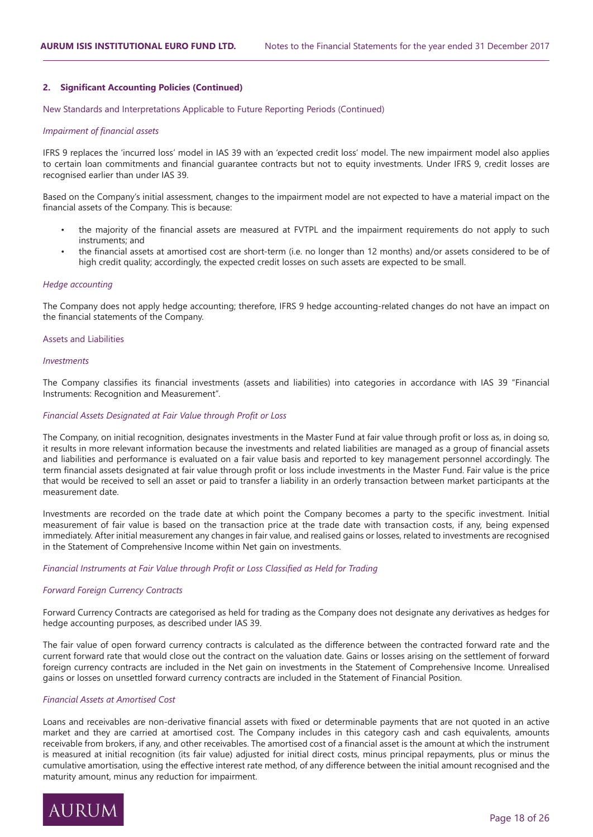## **2. Significant Accounting Policies (Continued)**

New Standards and Interpretations Applicable to Future Reporting Periods (Continued)

### *Impairment of financial assets*

IFRS 9 replaces the 'incurred loss' model in IAS 39 with an 'expected credit loss' model. The new impairment model also applies to certain loan commitments and financial guarantee contracts but not to equity investments. Under IFRS 9, credit losses are recognised earlier than under IAS 39.

Based on the Company's initial assessment, changes to the impairment model are not expected to have a material impact on the financial assets of the Company. This is because:

- the majority of the financial assets are measured at FVTPL and the impairment requirements do not apply to such instruments; and
- the financial assets at amortised cost are short-term (i.e. no longer than 12 months) and/or assets considered to be of high credit quality; accordingly, the expected credit losses on such assets are expected to be small.

#### *Hedge accounting*

The Company does not apply hedge accounting; therefore, IFRS 9 hedge accounting-related changes do not have an impact on the financial statements of the Company.

## Assets and Liabilities

## *Investments*

The Company classifies its financial investments (assets and liabilities) into categories in accordance with IAS 39 "Financial Instruments: Recognition and Measurement".

## *Financial Assets Designated at Fair Value through Profit or Loss*

The Company, on initial recognition, designates investments in the Master Fund at fair value through profit or loss as, in doing so, it results in more relevant information because the investments and related liabilities are managed as a group of financial assets and liabilities and performance is evaluated on a fair value basis and reported to key management personnel accordingly. The term financial assets designated at fair value through profit or loss include investments in the Master Fund. Fair value is the price that would be received to sell an asset or paid to transfer a liability in an orderly transaction between market participants at the measurement date.

Investments are recorded on the trade date at which point the Company becomes a party to the specific investment. Initial measurement of fair value is based on the transaction price at the trade date with transaction costs, if any, being expensed immediately. After initial measurement any changes in fair value, and realised gains or losses, related to investments are recognised in the Statement of Comprehensive Income within Net gain on investments.

## *Financial Instruments at Fair Value through Profit or Loss Classified as Held for Trading*

#### *Forward Foreign Currency Contracts*

Forward Currency Contracts are categorised as held for trading as the Company does not designate any derivatives as hedges for hedge accounting purposes, as described under IAS 39.

The fair value of open forward currency contracts is calculated as the difference between the contracted forward rate and the current forward rate that would close out the contract on the valuation date. Gains or losses arising on the settlement of forward foreign currency contracts are included in the Net gain on investments in the Statement of Comprehensive Income. Unrealised gains or losses on unsettled forward currency contracts are included in the Statement of Financial Position.

## *Financial Assets at Amortised Cost*

Loans and receivables are non-derivative financial assets with fixed or determinable payments that are not quoted in an active market and they are carried at amortised cost. The Company includes in this category cash and cash equivalents, amounts receivable from brokers, if any, and other receivables. The amortised cost of a financial asset is the amount at which the instrument is measured at initial recognition (its fair value) adjusted for initial direct costs, minus principal repayments, plus or minus the cumulative amortisation, using the effective interest rate method, of any difference between the initial amount recognised and the maturity amount, minus any reduction for impairment.

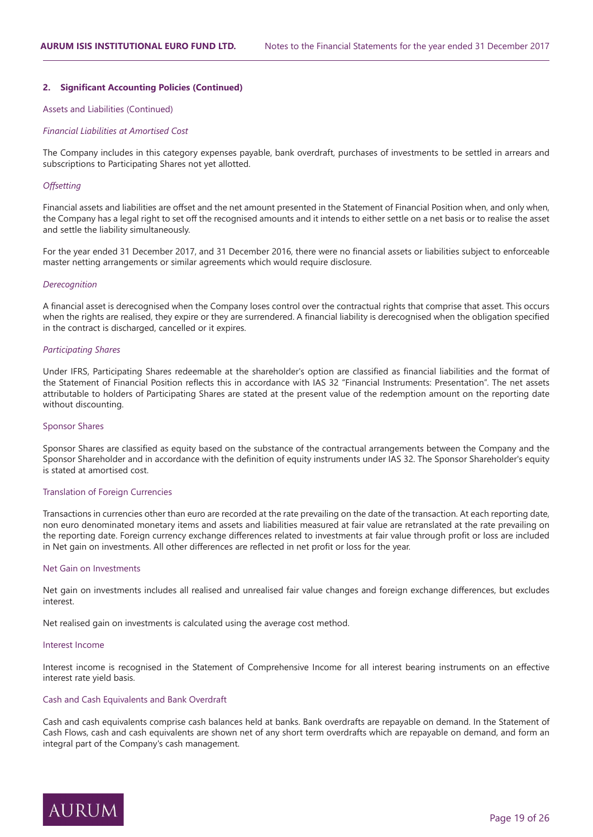## **2. Significant Accounting Policies (Continued)**

Assets and Liabilities (Continued)

#### *Financial Liabilities at Amortised Cost*

The Company includes in this category expenses payable, bank overdraft, purchases of investments to be settled in arrears and subscriptions to Participating Shares not yet allotted.

## *Offsetting*

Financial assets and liabilities are offset and the net amount presented in the Statement of Financial Position when, and only when, the Company has a legal right to set off the recognised amounts and it intends to either settle on a net basis or to realise the asset and settle the liability simultaneously.

For the year ended 31 December 2017, and 31 December 2016, there were no financial assets or liabilities subject to enforceable master netting arrangements or similar agreements which would require disclosure.

#### *Derecognition*

A financial asset is derecognised when the Company loses control over the contractual rights that comprise that asset. This occurs when the rights are realised, they expire or they are surrendered. A financial liability is derecognised when the obligation specified in the contract is discharged, cancelled or it expires.

#### *Participating Shares*

Under IFRS, Participating Shares redeemable at the shareholder's option are classified as financial liabilities and the format of the Statement of Financial Position reflects this in accordance with IAS 32 "Financial Instruments: Presentation". The net assets attributable to holders of Participating Shares are stated at the present value of the redemption amount on the reporting date without discounting.

#### Sponsor Shares

Sponsor Shares are classified as equity based on the substance of the contractual arrangements between the Company and the Sponsor Shareholder and in accordance with the definition of equity instruments under IAS 32. The Sponsor Shareholder's equity is stated at amortised cost.

## Translation of Foreign Currencies

Transactions in currencies other than euro are recorded at the rate prevailing on the date of the transaction. At each reporting date, non euro denominated monetary items and assets and liabilities measured at fair value are retranslated at the rate prevailing on the reporting date. Foreign currency exchange differences related to investments at fair value through profit or loss are included in Net gain on investments. All other differences are reflected in net profit or loss for the year.

#### Net Gain on Investments

Net gain on investments includes all realised and unrealised fair value changes and foreign exchange differences, but excludes interest.

Net realised gain on investments is calculated using the average cost method.

## Interest Income

Interest income is recognised in the Statement of Comprehensive Income for all interest bearing instruments on an effective interest rate yield basis.

## Cash and Cash Equivalents and Bank Overdraft

Cash and cash equivalents comprise cash balances held at banks. Bank overdrafts are repayable on demand. In the Statement of Cash Flows, cash and cash equivalents are shown net of any short term overdrafts which are repayable on demand, and form an integral part of the Company's cash management.

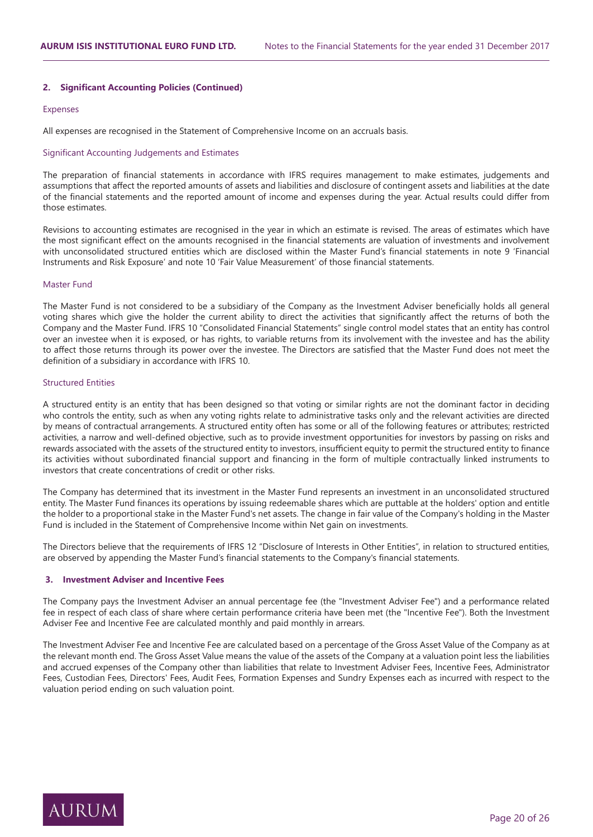## **2. Significant Accounting Policies (Continued)**

#### Expenses

All expenses are recognised in the Statement of Comprehensive Income on an accruals basis.

#### Significant Accounting Judgements and Estimates

The preparation of financial statements in accordance with IFRS requires management to make estimates, judgements and assumptions that affect the reported amounts of assets and liabilities and disclosure of contingent assets and liabilities at the date of the financial statements and the reported amount of income and expenses during the year. Actual results could differ from those estimates.

Revisions to accounting estimates are recognised in the year in which an estimate is revised. The areas of estimates which have the most significant effect on the amounts recognised in the financial statements are valuation of investments and involvement with unconsolidated structured entities which are disclosed within the Master Fund's financial statements in note 9 'Financial Instruments and Risk Exposure' and note 10 'Fair Value Measurement' of those financial statements.

## Master Fund

The Master Fund is not considered to be a subsidiary of the Company as the Investment Adviser beneficially holds all general voting shares which give the holder the current ability to direct the activities that significantly affect the returns of both the Company and the Master Fund. IFRS 10 "Consolidated Financial Statements" single control model states that an entity has control over an investee when it is exposed, or has rights, to variable returns from its involvement with the investee and has the ability to affect those returns through its power over the investee. The Directors are satisfied that the Master Fund does not meet the definition of a subsidiary in accordance with IFRS 10.

## Structured Entities

A structured entity is an entity that has been designed so that voting or similar rights are not the dominant factor in deciding who controls the entity, such as when any voting rights relate to administrative tasks only and the relevant activities are directed by means of contractual arrangements. A structured entity often has some or all of the following features or attributes; restricted activities, a narrow and well-defined objective, such as to provide investment opportunities for investors by passing on risks and rewards associated with the assets of the structured entity to investors, insufficient equity to permit the structured entity to finance its activities without subordinated financial support and financing in the form of multiple contractually linked instruments to investors that create concentrations of credit or other risks.

The Company has determined that its investment in the Master Fund represents an investment in an unconsolidated structured entity. The Master Fund finances its operations by issuing redeemable shares which are puttable at the holders' option and entitle the holder to a proportional stake in the Master Fund's net assets. The change in fair value of the Company's holding in the Master Fund is included in the Statement of Comprehensive Income within Net gain on investments.

The Directors believe that the requirements of IFRS 12 "Disclosure of Interests in Other Entities", in relation to structured entities, are observed by appending the Master Fund's financial statements to the Company's financial statements.

## **3. Investment Adviser and Incentive Fees**

The Company pays the Investment Adviser an annual percentage fee (the "Investment Adviser Fee") and a performance related fee in respect of each class of share where certain performance criteria have been met (the "Incentive Fee"). Both the Investment Adviser Fee and Incentive Fee are calculated monthly and paid monthly in arrears.

The Investment Adviser Fee and Incentive Fee are calculated based on a percentage of the Gross Asset Value of the Company as at the relevant month end. The Gross Asset Value means the value of the assets of the Company at a valuation point less the liabilities and accrued expenses of the Company other than liabilities that relate to Investment Adviser Fees, Incentive Fees, Administrator Fees, Custodian Fees, Directors' Fees, Audit Fees, Formation Expenses and Sundry Expenses each as incurred with respect to the valuation period ending on such valuation point.

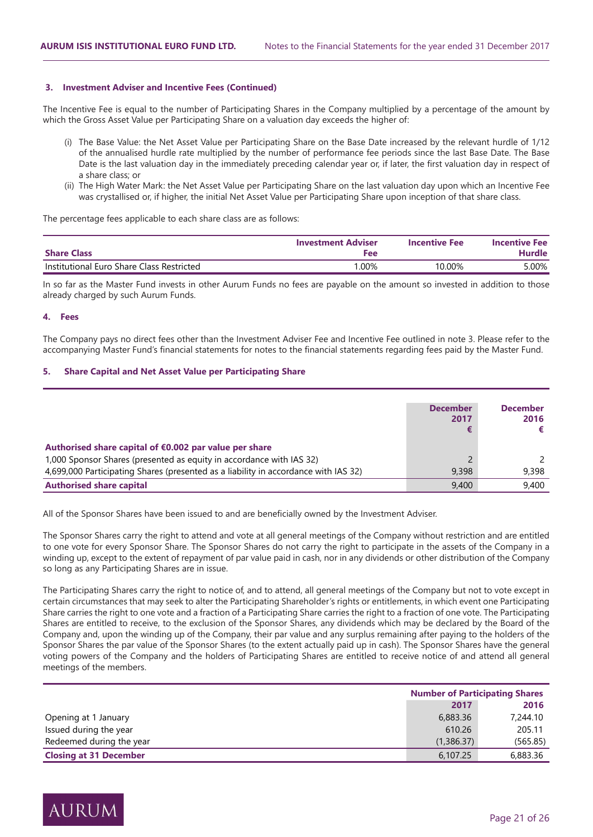## **3. Investment Adviser and Incentive Fees (Continued)**

The Incentive Fee is equal to the number of Participating Shares in the Company multiplied by a percentage of the amount by which the Gross Asset Value per Participating Share on a valuation day exceeds the higher of:

- (i) The Base Value: the Net Asset Value per Participating Share on the Base Date increased by the relevant hurdle of 1/12 of the annualised hurdle rate multiplied by the number of performance fee periods since the last Base Date. The Base Date is the last valuation day in the immediately preceding calendar year or, if later, the first valuation day in respect of a share class; or
- (ii) The High Water Mark: the Net Asset Value per Participating Share on the last valuation day upon which an Incentive Fee was crystallised or, if higher, the initial Net Asset Value per Participating Share upon inception of that share class.

The percentage fees applicable to each share class are as follows:

| <b>Share Class</b>                        | <b>Investment Adviser</b><br>Fee | <b>Incentive Fee</b> | <b>Incentive Fee</b><br><b>Hurdle</b> |
|-------------------------------------------|----------------------------------|----------------------|---------------------------------------|
| Institutional Euro Share Class Restricted | $.00\%$                          | 10.00%               | 5.00%                                 |

In so far as the Master Fund invests in other Aurum Funds no fees are payable on the amount so invested in addition to those already charged by such Aurum Funds.

#### **4. Fees**

The Company pays no direct fees other than the Investment Adviser Fee and Incentive Fee outlined in note 3. Please refer to the accompanying Master Fund's financial statements for notes to the financial statements regarding fees paid by the Master Fund.

## **5. Share Capital and Net Asset Value per Participating Share**

|                                                                                     | <b>December</b><br>2017 | <b>December</b><br>2016 |
|-------------------------------------------------------------------------------------|-------------------------|-------------------------|
| Authorised share capital of €0.002 par value per share                              |                         |                         |
| 1,000 Sponsor Shares (presented as equity in accordance with IAS 32)                |                         |                         |
| 4,699,000 Participating Shares (presented as a liability in accordance with IAS 32) | 9,398                   | 9,398                   |
| <b>Authorised share capital</b>                                                     | 9,400                   | 9,400                   |

All of the Sponsor Shares have been issued to and are beneficially owned by the Investment Adviser.

The Sponsor Shares carry the right to attend and vote at all general meetings of the Company without restriction and are entitled to one vote for every Sponsor Share. The Sponsor Shares do not carry the right to participate in the assets of the Company in a winding up, except to the extent of repayment of par value paid in cash, nor in any dividends or other distribution of the Company so long as any Participating Shares are in issue.

The Participating Shares carry the right to notice of, and to attend, all general meetings of the Company but not to vote except in certain circumstances that may seek to alter the Participating Shareholder's rights or entitlements, in which event one Participating Share carries the right to one vote and a fraction of a Participating Share carries the right to a fraction of one vote. The Participating Shares are entitled to receive, to the exclusion of the Sponsor Shares, any dividends which may be declared by the Board of the Company and, upon the winding up of the Company, their par value and any surplus remaining after paying to the holders of the Sponsor Shares the par value of the Sponsor Shares (to the extent actually paid up in cash). The Sponsor Shares have the general voting powers of the Company and the holders of Participating Shares are entitled to receive notice of and attend all general meetings of the members.

|                               | <b>Number of Participating Shares</b> |          |
|-------------------------------|---------------------------------------|----------|
|                               | 2017                                  | 2016     |
| Opening at 1 January          | 6,883.36                              | 7,244.10 |
| Issued during the year        | 610.26                                | 205.11   |
| Redeemed during the year      | (1,386.37)                            | (565.85) |
| <b>Closing at 31 December</b> | 6,107.25                              | 6,883.36 |

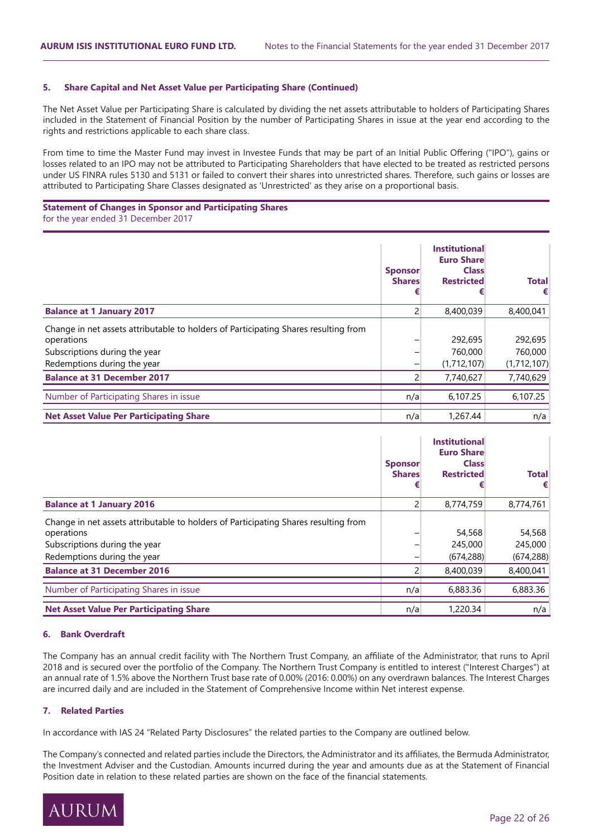## **5. Share Capital and Net Asset Value per Participating Share (Continued)**

The Net Asset Value per Participating Share is calculated by dividing the net assets attributable to holders of Participating Shares included in the Statement of Financial Position by the number of Participating Shares in issue at the year end according to the rights and restrictions applicable to each share class.

From time to time the Master Fund may invest in Investee Funds that may be part of an Initial Public Offering ("IPO"), gains or losses related to an IPO may not be attributed to Participating Shareholders that have elected to be treated as restricted persons under US FINRA rules 5130 and 5131 or failed to convert their shares into unrestricted shares. Therefore, such gains or losses are attributed to Participating Share Classes designated as 'Unrestricted' as they arise on a proportional basis.

## **Statement of Changes in Sponsor and Participating Shares** for the year ended 31 December 2017

|                                                                                                                                                                   | <b>Sponsor</b><br><b>Shares</b> | <b>Institutional</b><br><b>Euro Share</b><br><b>Class</b><br><b>Restricted</b> | <b>Total</b><br>€                 |
|-------------------------------------------------------------------------------------------------------------------------------------------------------------------|---------------------------------|--------------------------------------------------------------------------------|-----------------------------------|
| <b>Balance at 1 January 2017</b>                                                                                                                                  |                                 | 8,400,039                                                                      | 8,400,041                         |
| Change in net assets attributable to holders of Participating Shares resulting from<br>operations<br>Subscriptions during the year<br>Redemptions during the year |                                 | 292,695<br>760,000<br>(1,712,107)                                              | 292,695<br>760,000<br>(1,712,107) |
| <b>Balance at 31 December 2017</b>                                                                                                                                |                                 | 7,740,627                                                                      | 7,740,629                         |
| Number of Participating Shares in issue                                                                                                                           | n/a                             | 6.107.25                                                                       | 6.107.25                          |
| <b>Net Asset Value Per Participating Share</b>                                                                                                                    | n/a                             | 1,267.44                                                                       | n/a                               |

|                                                                                                                                                                   | <b>Sponsor</b><br><b>Shares</b> | <b>Institutional</b><br><b>Euro Share</b><br><b>Class</b><br><b>Restricted</b> | <b>Total</b><br>€               |
|-------------------------------------------------------------------------------------------------------------------------------------------------------------------|---------------------------------|--------------------------------------------------------------------------------|---------------------------------|
| <b>Balance at 1 January 2016</b>                                                                                                                                  |                                 | 8,774,759                                                                      | 8,774,761                       |
| Change in net assets attributable to holders of Participating Shares resulting from<br>operations<br>Subscriptions during the year<br>Redemptions during the year |                                 | 54,568<br>245,000<br>(674, 288)                                                | 54,568<br>245,000<br>(674, 288) |
| <b>Balance at 31 December 2016</b>                                                                                                                                |                                 | 8,400,039                                                                      | 8,400,041                       |
| Number of Participating Shares in issue                                                                                                                           | n/a                             | 6,883.36                                                                       | 6,883.36                        |
| <b>Net Asset Value Per Participating Share</b>                                                                                                                    | n/a                             | 1,220.34                                                                       | n/a                             |

## **6. Bank Overdraft**

The Company has an annual credit facility with The Northern Trust Company, an affiliate of the Administrator, that runs to April 2018 and is secured over the portfolio of the Company. The Northern Trust Company is entitled to interest ("Interest Charges") at an annual rate of 1.5% above the Northern Trust base rate of 0.00% (2016: 0.00%) on any overdrawn balances. The Interest Charges are incurred daily and are included in the Statement of Comprehensive Income within Net interest expense.

## **7. Related Parties**

In accordance with IAS 24 "Related Party Disclosures" the related parties to the Company are outlined below.

The Company's connected and related parties include the Directors, the Administrator and its affiliates, the Bermuda Administrator, the Investment Adviser and the Custodian. Amounts incurred during the year and amounts due as at the Statement of Financial Position date in relation to these related parties are shown on the face of the financial statements.

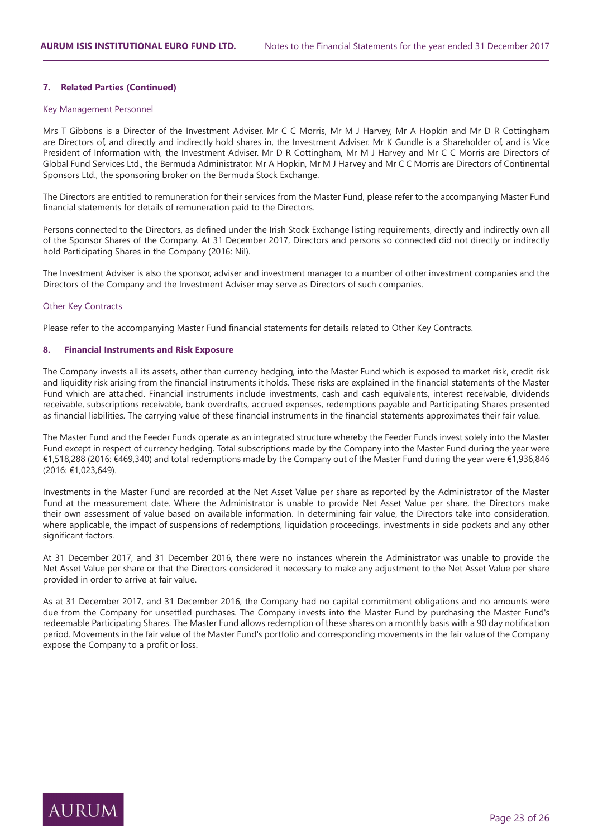## **7. Related Parties (Continued)**

## Key Management Personnel

Mrs T Gibbons is a Director of the Investment Adviser. Mr C C Morris, Mr M J Harvey, Mr A Hopkin and Mr D R Cottingham are Directors of, and directly and indirectly hold shares in, the Investment Adviser. Mr K Gundle is a Shareholder of, and is Vice President of Information with, the Investment Adviser. Mr D R Cottingham, Mr M J Harvey and Mr C C Morris are Directors of Global Fund Services Ltd., the Bermuda Administrator. Mr A Hopkin, Mr M J Harvey and Mr C C Morris are Directors of Continental Sponsors Ltd., the sponsoring broker on the Bermuda Stock Exchange.

The Directors are entitled to remuneration for their services from the Master Fund, please refer to the accompanying Master Fund financial statements for details of remuneration paid to the Directors.

Persons connected to the Directors, as defined under the Irish Stock Exchange listing requirements, directly and indirectly own all of the Sponsor Shares of the Company. At 31 December 2017, Directors and persons so connected did not directly or indirectly hold Participating Shares in the Company (2016: Nil).

The Investment Adviser is also the sponsor, adviser and investment manager to a number of other investment companies and the Directors of the Company and the Investment Adviser may serve as Directors of such companies.

## Other Key Contracts

Please refer to the accompanying Master Fund financial statements for details related to Other Key Contracts.

## **8. Financial Instruments and Risk Exposure**

The Company invests all its assets, other than currency hedging, into the Master Fund which is exposed to market risk, credit risk and liquidity risk arising from the financial instruments it holds. These risks are explained in the financial statements of the Master Fund which are attached. Financial instruments include investments, cash and cash equivalents, interest receivable, dividends receivable, subscriptions receivable, bank overdrafts, accrued expenses, redemptions payable and Participating Shares presented as financial liabilities. The carrying value of these financial instruments in the financial statements approximates their fair value.

The Master Fund and the Feeder Funds operate as an integrated structure whereby the Feeder Funds invest solely into the Master Fund except in respect of currency hedging. Total subscriptions made by the Company into the Master Fund during the year were €1,518,288 (2016: €469,340) and total redemptions made by the Company out of the Master Fund during the year were €1,936,846 (2016: €1,023,649).

Investments in the Master Fund are recorded at the Net Asset Value per share as reported by the Administrator of the Master Fund at the measurement date. Where the Administrator is unable to provide Net Asset Value per share, the Directors make their own assessment of value based on available information. In determining fair value, the Directors take into consideration, where applicable, the impact of suspensions of redemptions, liquidation proceedings, investments in side pockets and any other significant factors.

At 31 December 2017, and 31 December 2016, there were no instances wherein the Administrator was unable to provide the Net Asset Value per share or that the Directors considered it necessary to make any adjustment to the Net Asset Value per share provided in order to arrive at fair value.

As at 31 December 2017, and 31 December 2016, the Company had no capital commitment obligations and no amounts were due from the Company for unsettled purchases. The Company invests into the Master Fund by purchasing the Master Fund's redeemable Participating Shares. The Master Fund allows redemption of these shares on a monthly basis with a 90 day notification period. Movements in the fair value of the Master Fund's portfolio and corresponding movements in the fair value of the Company expose the Company to a profit or loss.

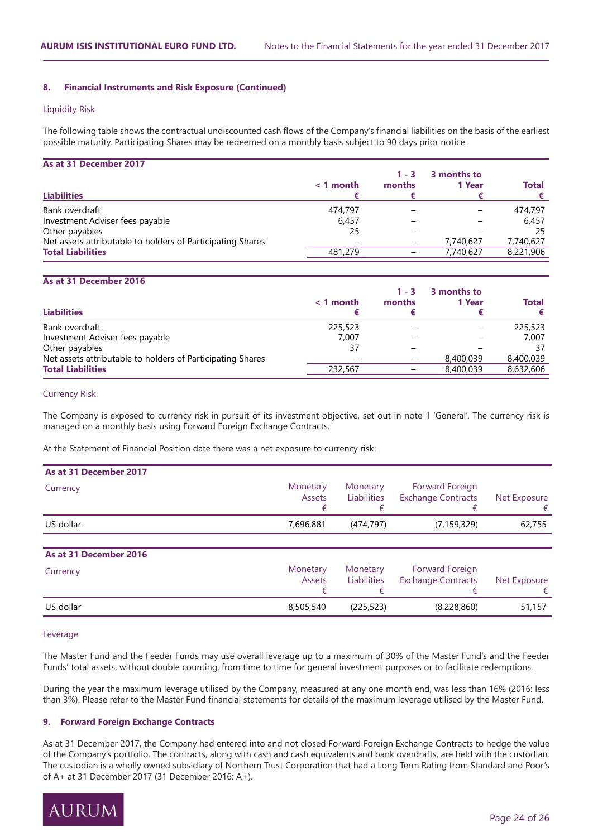## **8. Financial Instruments and Risk Exposure (Continued)**

## Liquidity Risk

The following table shows the contractual undiscounted cash flows of the Company's financial liabilities on the basis of the earliest possible maturity. Participating Shares may be redeemed on a monthly basis subject to 90 days prior notice.

## **As at 31 December 2017**

| $\leq 1$ month | $1 - 3$<br>months | 3 months to<br>1 Year | <b>Total</b> |
|----------------|-------------------|-----------------------|--------------|
| 474,797        |                   |                       | 474,797      |
| 6,457          |                   |                       | 6.457        |
| 25             |                   |                       |              |
|                |                   | 7,740,627             | 7,740,627    |
| 481,279        |                   | 7,740,627             | 8,221,906    |
|                |                   |                       |              |

## **As at 31 December 2016**

| <b>Liabilities</b>                                         | $< 1$ month | $1 - 3$<br>months | 3 months to<br>1 Year    | <b>Total</b> |
|------------------------------------------------------------|-------------|-------------------|--------------------------|--------------|
| Bank overdraft                                             | 225,523     |                   | $\overline{\phantom{0}}$ | 225,523      |
| Investment Adviser fees payable                            | 7.007       |                   |                          | 7.007        |
| Other payables                                             | 37          |                   |                          |              |
| Net assets attributable to holders of Participating Shares |             |                   | 8,400,039                | 8,400,039    |
| <b>Total Liabilities</b>                                   | 232,567     |                   | 8,400,039                | 8,632,606    |

## Currency Risk

The Company is exposed to currency risk in pursuit of its investment objective, set out in note 1 'General'. The currency risk is managed on a monthly basis using Forward Foreign Exchange Contracts.

At the Statement of Financial Position date there was a net exposure to currency risk:

| As at 31 December 2017 |                    |                         |                                              |                   |
|------------------------|--------------------|-------------------------|----------------------------------------------|-------------------|
| Currency               | Monetary<br>Assets | Monetary<br>Liabilities | Forward Foreign<br><b>Exchange Contracts</b> | Net Exposure<br>€ |
| US dollar              | 7,696,881          | (474.797)               | (7, 159, 329)                                | 62,755            |
|                        |                    |                         |                                              |                   |
| As at 31 December 2016 |                    |                         |                                              |                   |

| Currency  | Monetary<br><b>Assets</b> | Monetary<br><b>Liabilities</b> | Forward Foreign<br><b>Exchange Contracts</b> | Net Exposure |
|-----------|---------------------------|--------------------------------|----------------------------------------------|--------------|
| US dollar | 8,505,540                 | (225.523)                      | (8,228,860)                                  | 51,157       |

## Leverage

The Master Fund and the Feeder Funds may use overall leverage up to a maximum of 30% of the Master Fund's and the Feeder Funds' total assets, without double counting, from time to time for general investment purposes or to facilitate redemptions.

During the year the maximum leverage utilised by the Company, measured at any one month end, was less than 16% (2016: less than 3%). Please refer to the Master Fund financial statements for details of the maximum leverage utilised by the Master Fund.

## **9. Forward Foreign Exchange Contracts**

As at 31 December 2017, the Company had entered into and not closed Forward Foreign Exchange Contracts to hedge the value of the Company's portfolio. The contracts, along with cash and cash equivalents and bank overdrafts, are held with the custodian. The custodian is a wholly owned subsidiary of Northern Trust Corporation that had a Long Term Rating from Standard and Poor's of A+ at 31 December 2017 (31 December 2016: A+).

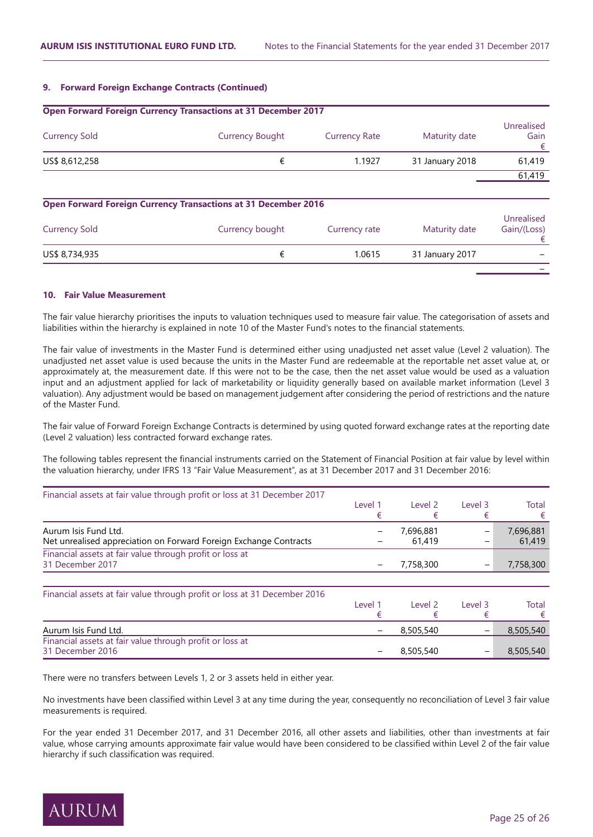## **9. Forward Foreign Exchange Contracts (Continued)**

| <b>Open Forward Foreign Currency Transactions at 31 December 2017</b> |                                                                       |                      |                 |                           |  |  |  |
|-----------------------------------------------------------------------|-----------------------------------------------------------------------|----------------------|-----------------|---------------------------|--|--|--|
| <b>Currency Sold</b>                                                  | <b>Currency Bought</b>                                                | <b>Currency Rate</b> | Maturity date   | Unrealised<br>Gain        |  |  |  |
| US\$ 8,612,258                                                        | €                                                                     | 1.1927               | 31 January 2018 | 61,419                    |  |  |  |
|                                                                       |                                                                       |                      |                 | 61,419                    |  |  |  |
|                                                                       | <b>Open Forward Foreign Currency Transactions at 31 December 2016</b> |                      |                 |                           |  |  |  |
| <b>Currency Sold</b>                                                  | Currency bought                                                       | Currency rate        | Maturity date   | Unrealised<br>Gain/(Loss) |  |  |  |

## **10. Fair Value Measurement**

The fair value hierarchy prioritises the inputs to valuation techniques used to measure fair value. The categorisation of assets and liabilities within the hierarchy is explained in note 10 of the Master Fund's notes to the financial statements.

US\$ 8,734,935 € 1.0615 31 January 2017 –

The fair value of investments in the Master Fund is determined either using unadjusted net asset value (Level 2 valuation). The unadjusted net asset value is used because the units in the Master Fund are redeemable at the reportable net asset value at, or approximately at, the measurement date. If this were not to be the case, then the net asset value would be used as a valuation input and an adjustment applied for lack of marketability or liquidity generally based on available market information (Level 3 valuation). Any adjustment would be based on management judgement after considering the period of restrictions and the nature of the Master Fund.

The fair value of Forward Foreign Exchange Contracts is determined by using quoted forward exchange rates at the reporting date (Level 2 valuation) less contracted forward exchange rates.

The following tables represent the financial instruments carried on the Statement of Financial Position at fair value by level within the valuation hierarchy, under IFRS 13 "Fair Value Measurement", as at 31 December 2017 and 31 December 2016:

| Financial assets at fair value through profit or loss at 31 December 2017 |         |           |         |           |
|---------------------------------------------------------------------------|---------|-----------|---------|-----------|
|                                                                           | Level 1 | Level 2   | Level 3 | Total     |
|                                                                           | €       | €         | €       | €         |
| Aurum Isis Fund Ltd.                                                      |         | 7,696,881 |         | 7,696,881 |
| Net unrealised appreciation on Forward Foreign Exchange Contracts         |         | 61,419    |         | 61,419    |
| Financial assets at fair value through profit or loss at                  |         |           |         |           |
| 31 December 2017                                                          |         | 7,758,300 |         | 7,758,300 |
|                                                                           |         |           |         |           |
| Financial assets at fair value through profit or loss at 31 December 2016 |         |           |         |           |
|                                                                           | Level 1 | Level 2   | Level 3 | Total     |
|                                                                           | €       | €         |         |           |
| Aurum Isis Fund Ltd.                                                      |         | 8,505,540 |         | 8,505,540 |
| Financial assets at fair value through profit or loss at                  |         |           |         |           |
| 31 December 2016                                                          |         | 8,505,540 |         | 8,505,540 |

There were no transfers between Levels 1, 2 or 3 assets held in either year.

No investments have been classified within Level 3 at any time during the year, consequently no reconciliation of Level 3 fair value measurements is required.

For the year ended 31 December 2017, and 31 December 2016, all other assets and liabilities, other than investments at fair value, whose carrying amounts approximate fair value would have been considered to be classified within Level 2 of the fair value hierarchy if such classification was required.



–